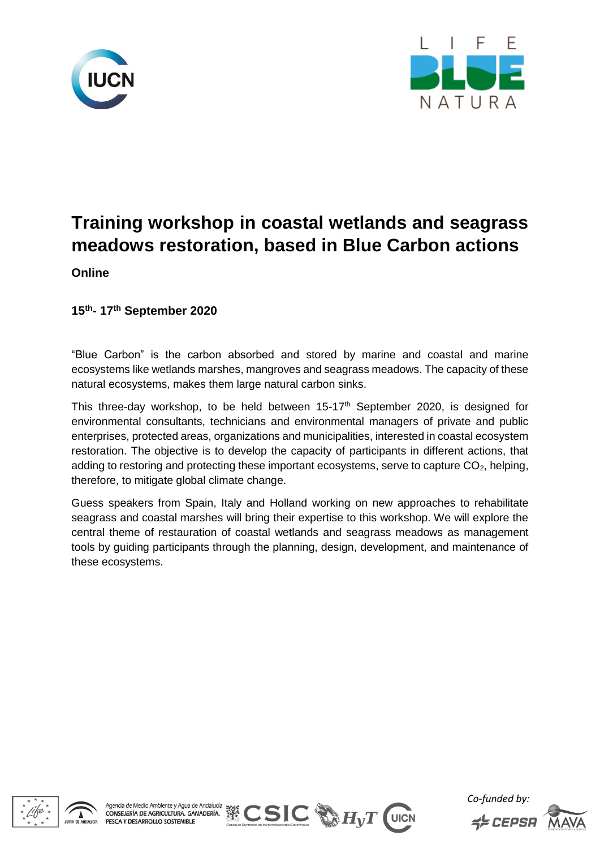



# **Training workshop in coastal wetlands and seagrass meadows restoration, based in Blue Carbon actions**

**Online**

**15th- 17th September 2020**

"Blue Carbon" is the carbon absorbed and stored by marine and coastal and marine ecosystems like wetlands marshes, mangroves and seagrass meadows. The capacity of these natural ecosystems, makes them large natural carbon sinks.

This three-day workshop, to be held between 15-17<sup>th</sup> September 2020, is designed for environmental consultants, technicians and environmental managers of private and public enterprises, protected areas, organizations and municipalities, interested in coastal ecosystem restoration. The objective is to develop the capacity of participants in different actions, that adding to restoring and protecting these important ecosystems, serve to capture  $CO<sub>2</sub>$ , helping, therefore, to mitigate global climate change.

Guess speakers from Spain, Italy and Holland working on new approaches to rehabilitate seagrass and coastal marshes will bring their expertise to this workshop. We will explore the central theme of restauration of coastal wetlands and seagrass meadows as management tools by guiding participants through the planning, design, development, and maintenance of these ecosystems.





*Co-funded by:*  $\leq$   $EPPSH$ 

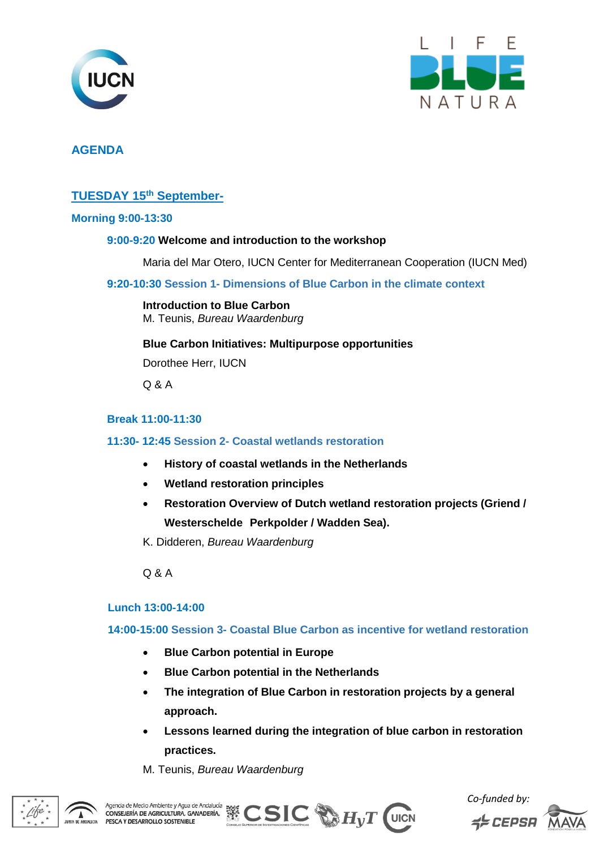



# **AGENDA**

## **TUESDAY 15th September-**

#### **Morning 9:00-13:30**

#### **9:00-9:20 Welcome and introduction to the workshop**

Maria del Mar Otero, IUCN Center for Mediterranean Cooperation (IUCN Med)

**9:20-10:30 Session 1- Dimensions of Blue Carbon in the climate context**

#### **Introduction to Blue Carbon** M. Teunis, *Bureau Waardenburg*

**Blue Carbon Initiatives: Multipurpose opportunities** 

Dorothee Herr, IUCN

Q & A

### **Break 11:00-11:30**

#### **11:30- 12:45 Session 2- Coastal wetlands restoration**

- **History of coastal wetlands in the Netherlands**
- **Wetland restoration principles**
- **Restoration Overview of Dutch wetland restoration projects (Griend / Westerschelde Perkpolder / Wadden Sea).**

K. Didderen, *Bureau Waardenburg*

Q & A

#### **Lunch 13:00-14:00**

**14:00-15:00 Session 3- Coastal Blue Carbon as incentive for wetland restoration** 

- **Blue Carbon potential in Europe**
- **Blue Carbon potential in the Netherlands**
- **The integration of Blue Carbon in restoration projects by a general approach.**
- **Lessons learned during the integration of blue carbon in restoration practices.**

M. Teunis, *Bureau Waardenburg*





*Co-funded by:* **ELEPSA** 

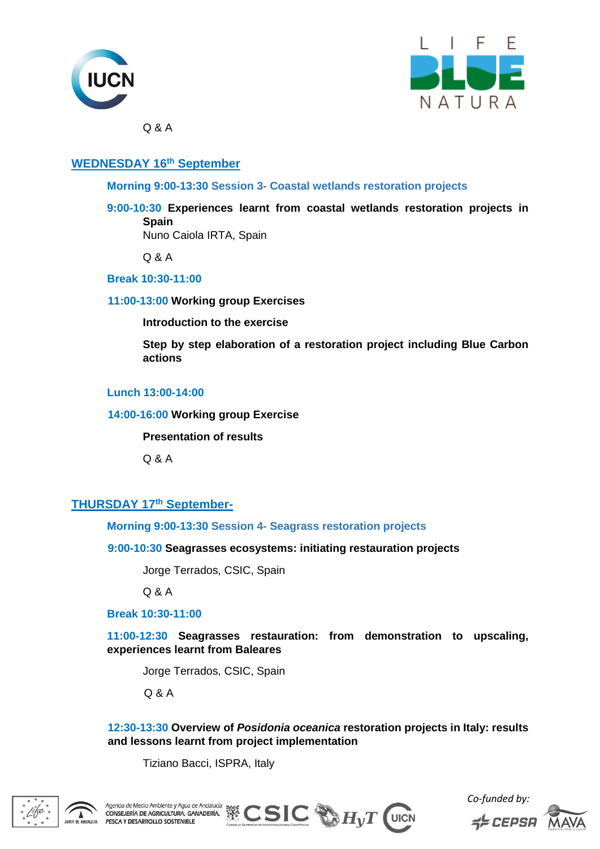



Q & A

# **WEDNESDAY 16th September**

**Morning 9:00-13:30 Session 3- Coastal wetlands restoration projects** 

**9:00-10:30 Experiences learnt from coastal wetlands restoration projects in Spain**

Nuno Caiola IRTA, Spain

Q & A

**Break 10:30-11:00** 

**11:00-13:00 Working group Exercises**

**Introduction to the exercise**

**Step by step elaboration of a restoration project including Blue Carbon actions**

## **Lunch 13:00-14:00**

**14:00-16:00 Working group Exercise**

**Presentation of results**

Q & A

## **THURSDAY 17th September-**

**Morning 9:00-13:30 Session 4- Seagrass restoration projects**

**9:00-10:30 Seagrasses ecosystems: initiating restauration projects**

Jorge Terrados, CSIC, Spain

Q & A

**Break 10:30-11:00** 

**11:00-12:30 Seagrasses restauration: from demonstration to upscaling, experiences learnt from Baleares**

Jorge Terrados, CSIC, Spain

Q & A

**12:30-13:30 Overview of** *Posidonia oceanica* **restoration projects in Italy: results and lessons learnt from project implementation**

Tiziano Bacci, ISPRA, Italy





*Co-funded by:*  $\leq$   $EPPSH$